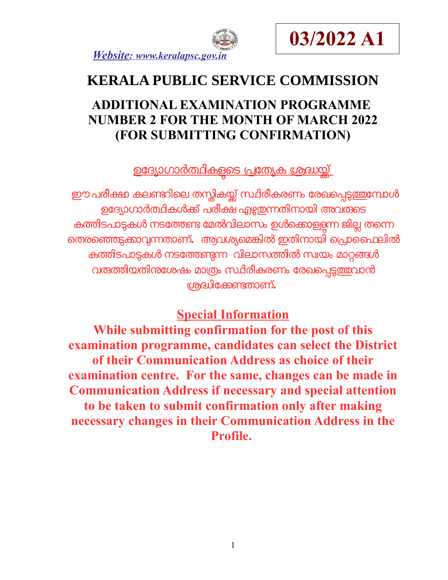



# **KERALA PUBLIC SERVICE COMMISSION**

## **ADDITIONAL EXAMINATION PROGRAMME NUMBER 2 FOR THE MONTH OF MARCH 2022 (FOR SUBMITTING CONFIRMATION)**

<u>ഉദ്യോഗാർത്ഥികളടെ പ്രത്യേക ശ്രദ്ധയ്ക്</u>

ഈ പരീക്ഷ കലണ്ടറിലെ തസ്തികയ്ക്ക് സ്ഥിരീകരണം രേഖപ്പെടുത്തുമ്പോൾ ഉദ്യോഗാർത്ഥികൾക്ക് പരീക്ഷ എഴുതുന്നതിനായി അവരുടെ കത്തിടപാടുകൾ നടത്തേണ്ട മേൽവിലാസം ഉൾക്കൊള്ളന്ന ജില്ല തന്നെ െതരെഞടകോവനതോണ്**.** ആവശയെമങിൽ ഇതിനോയി െപോൈഫലിൽ കതിടപോടകൾ നടോതണന വിലോസതിൽസവയം മോറങൾ വ<mark>രത്തിയതിനശേഷം മാത്രം സ്ഥിരീകരണം രേഖ</mark>പ്പെട<u>്ടത്ത</u>വാൻ ശദിോകണതോണ്**.** 

## **Special Information**

**While submitting confirmation for the post of this examination programme, candidates can select the District of their Communication Address as choice of their examination centre. For the same, changes can be made in Communication Address if necessary and special attention to be taken to submit confirmation only after making necessary changes in their Communication Address in the Profile.**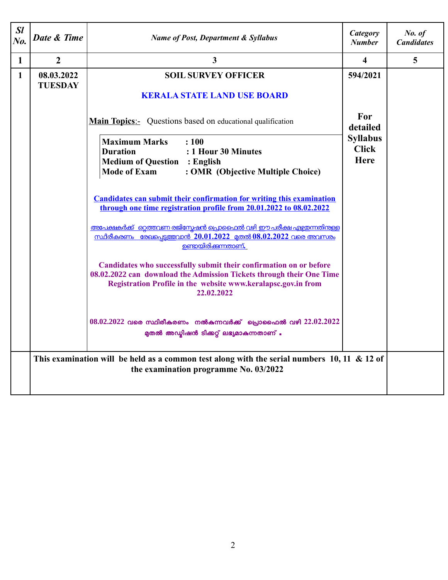| SI<br>$N0$ . | Date & Time                                                                                                                             | <b>Name of Post, Department &amp; Syllabus</b>                                                                                                                                                                                                                                                                                                                                                                                                                                                                                                                                                             | Category<br><b>Number</b>                                                     | No. of<br><b>Candidates</b> |  |
|--------------|-----------------------------------------------------------------------------------------------------------------------------------------|------------------------------------------------------------------------------------------------------------------------------------------------------------------------------------------------------------------------------------------------------------------------------------------------------------------------------------------------------------------------------------------------------------------------------------------------------------------------------------------------------------------------------------------------------------------------------------------------------------|-------------------------------------------------------------------------------|-----------------------------|--|
| $\mathbf 1$  | $\overline{2}$                                                                                                                          | $\overline{3}$                                                                                                                                                                                                                                                                                                                                                                                                                                                                                                                                                                                             | $\overline{\mathbf{4}}$                                                       | $5\overline{)}$             |  |
| $\mathbf{1}$ | 08.03.2022<br><b>TUESDAY</b>                                                                                                            | <b>SOIL SURVEY OFFICER</b><br><b>KERALA STATE LAND USE BOARD</b><br><b>Main Topics:-</b> Questions based on educational qualification<br><b>Maximum Marks</b><br>: 100<br>: 1 Hour 30 Minutes<br><b>Duration</b><br><b>Medium of Question : English</b><br><b>Mode of Exam</b><br>: OMR (Objective Multiple Choice)<br><b>Candidates can submit their confirmation for writing this examination</b>                                                                                                                                                                                                        | 594/2021<br>For<br>detailed<br><b>Syllabus</b><br><b>Click</b><br><b>Here</b> |                             |  |
|              |                                                                                                                                         | through one time registration profile from 20.01.2022 to 08.02.2022<br><u>അപേക്ഷകർക്ക് ഒറ്റത്തവണ രജിസ്മേഷൻ പ്രൊഫൈൽ വഴി ഈ പരീക്ഷ എഴ്ചതന്നതിന്കള്ള</u><br><u>സ്ഥിരീകരണം രേഖപെട്ടത്തവാൻ 20.01.2022 മതൽ 08.02.2022 വരെ അവസരം</u><br><u>ഉണ്ടായിരിക്കന്നതാണ്.</u><br>Candidates who successfully submit their confirmation on or before<br>08.02.2022 can download the Admission Tickets through their One Time<br>Registration Profile in the website www.keralapsc.gov.in from<br>22.02.2022<br>$08.02.2022$ വരെ സ്ഥിരീകരണം നൽകുന്നവർക്ക് പ്രൊഫൈൽ വഴി $22.02.2022$<br>മുതൽ അഡ്ലിഷൻ ടിക്കറ്റ് ലഭ്യമാകുന്നതാണ് . |                                                                               |                             |  |
|              | This examination will be held as a common test along with the serial numbers $10$ , 11 & 12 of<br>the examination programme No. 03/2022 |                                                                                                                                                                                                                                                                                                                                                                                                                                                                                                                                                                                                            |                                                                               |                             |  |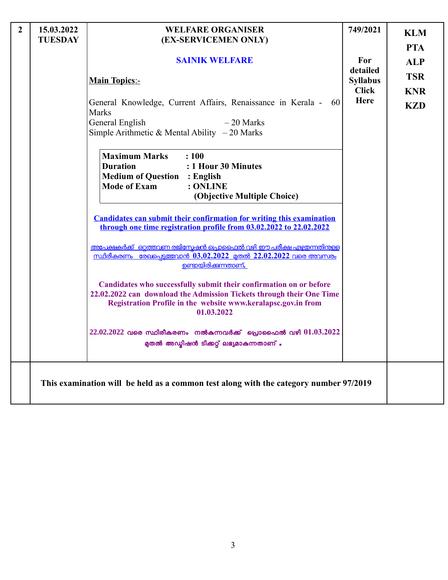| $\overline{2}$ | 15.03.2022<br><b>TUESDAY</b> | <b>WELFARE ORGANISER</b><br>(EX-SERVICEMEN ONLY)                                                                                                                                                                          | 749/2021                    | <b>KLM</b><br><b>PTA</b> |
|----------------|------------------------------|---------------------------------------------------------------------------------------------------------------------------------------------------------------------------------------------------------------------------|-----------------------------|--------------------------|
|                |                              | <b>SAINIK WELFARE</b>                                                                                                                                                                                                     | For                         | <b>ALP</b>               |
|                |                              | <b>Main Topics:-</b>                                                                                                                                                                                                      | detailed<br><b>Syllabus</b> | <b>TSR</b>               |
|                |                              |                                                                                                                                                                                                                           | <b>Click</b><br><b>Here</b> | <b>KNR</b>               |
|                |                              | General Knowledge, Current Affairs, Renaissance in Kerala -<br>60<br>Marks                                                                                                                                                |                             | <b>KZD</b>               |
|                |                              | General English<br>$-20$ Marks<br>Simple Arithmetic & Mental Ability $-20$ Marks                                                                                                                                          |                             |                          |
|                |                              | <b>Maximum Marks</b><br>: 100<br><b>Duration</b><br>: 1 Hour 30 Minutes<br><b>Medium of Question : English</b><br><b>Mode of Exam</b><br>: ONLINE                                                                         |                             |                          |
|                |                              | (Objective Multiple Choice)                                                                                                                                                                                               |                             |                          |
|                |                              | <b>Candidates can submit their confirmation for writing this examination</b><br>through one time registration profile from 03.02.2022 to 22.02.2022                                                                       |                             |                          |
|                |                              | <u>അപേക്ഷകർക്ക് ഒറ്റത്തവണ രജിസ്മേഷൻ പ്രൊഫൈൽ വഴി ഈ പരീക്ഷ എഴ്ചതന്നതിന്റള്ള</u><br><u>സ്ഥിരീകരണം രേഖപ്പെട്ടത്തവാൻ 03.02.2022 മുതൽ 22.02.2022 വരെ അവസരം</u><br><u>ഉണ്ടായിരിക്കന്നതാണ്.</u>                                   |                             |                          |
|                |                              | Candidates who successfully submit their confirmation on or before<br>22.02.2022 can download the Admission Tickets through their One Time<br>Registration Profile in the website www.keralapsc.gov.in from<br>01.03.2022 |                             |                          |
|                |                              | $22.02.2022$ വരെ സ്ഥിരീകരണം നൽകുന്നവർക്ക് പ്രൊഫൈൽ വഴി $01.03.2022$<br>മുതൽ അഡ്മിഷൻ ടിക്കറ്റ് ലഭ്യമാകുന്നതാണ് .                                                                                                            |                             |                          |
|                |                              | This examination will be held as a common test along with the category number 97/2019                                                                                                                                     |                             |                          |